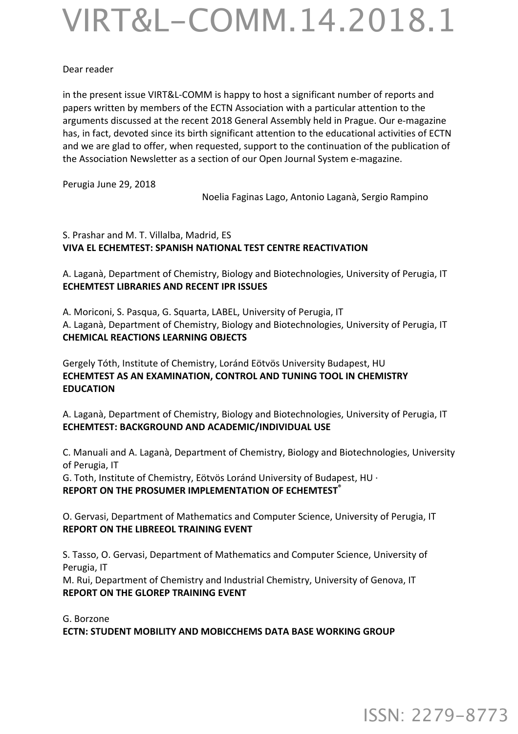## VIRT&L-COMM.14.2018.1

## Dear reader

in the present issue VIRT&L-COMM is happy to host a significant number of reports and papers written by members of the ECTN Association with a particular attention to the arguments discussed at the recent 2018 General Assembly held in Prague. Our e-magazine has, in fact, devoted since its birth significant attention to the educational activities of ECTN and we are glad to offer, when requested, support to the continuation of the publication of the Association Newsletter as a section of our Open Journal System e-magazine.

Perugia June 29, 2018

Noelia Faginas Lago, Antonio Laganà, Sergio Rampino

## S. Prashar and M. T. Villalba, Madrid, ES **VIVA EL ECHEMTEST: SPANISH NATIONAL TEST CENTRE REACTIVATION**

A. Laganà, Department of Chemistry, Biology and Biotechnologies, University of Perugia, IT **ECHEMTEST LIBRARIES AND RECENT IPR ISSUES** 

A. Moriconi, S. Pasqua, G. Squarta, LABEL, University of Perugia, IT A. Laganà, Department of Chemistry, Biology and Biotechnologies, University of Perugia, IT **CHEMICAL REACTIONS LEARNING OBJECTS** 

Gergely Tóth, Institute of Chemistry, Loránd Eötvös University Budapest, HU **ECHEMTEST AS AN EXAMINATION, CONTROL AND TUNING TOOL IN CHEMISTRY EDUCATION**

A. Laganà, Department of Chemistry, Biology and Biotechnologies, University of Perugia, IT **ECHEMTEST: BACKGROUND AND ACADEMIC/INDIVIDUAL USE** 

C. Manuali and A. Laganà, Department of Chemistry, Biology and Biotechnologies, University of Perugia, IT

G. Toth, Institute of Chemistry, Eötvös Loránd University of Budapest, HU · **REPORT ON THE PROSUMER IMPLEMENTATION OF ECHEMTEST<sup>®</sup>** 

O. Gervasi, Department of Mathematics and Computer Science, University of Perugia, IT **REPORT ON THE LIBREEOL TRAINING EVENT** 

S. Tasso, O. Gervasi, Department of Mathematics and Computer Science, University of Perugia, IT

M. Rui, Department of Chemistry and Industrial Chemistry, University of Genova, IT **REPORT ON THE GLOREP TRAINING EVENT** 

G. Borzone **ECTN: STUDENT MOBILITY AND MOBICCHEMS DATA BASE WORKING GROUP** 

ISSN: 2279-8773